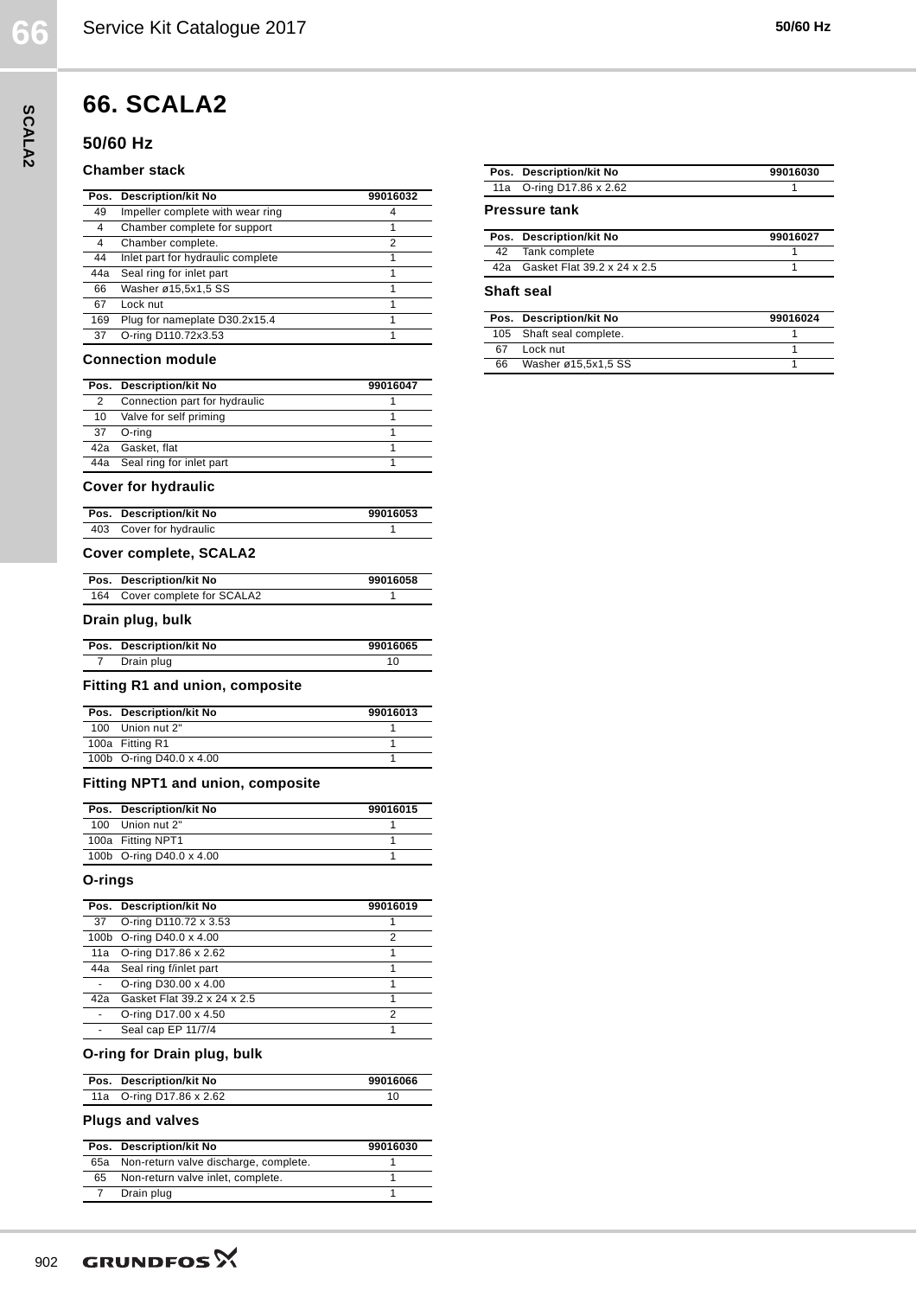# **66. SCALA2**

## **50/60 Hz**

#### **Chamber stack**

|     | Pos. Description/kit No           | 99016032 |
|-----|-----------------------------------|----------|
| 49  | Impeller complete with wear ring  |          |
| 4   | Chamber complete for support      |          |
| 4   | Chamber complete.                 | 2        |
| 44  | Inlet part for hydraulic complete |          |
| 44a | Seal ring for inlet part          |          |
| 66  | Washer ø15,5x1,5 SS               |          |
| 67  | Lock nut                          |          |
| 169 | Plug for nameplate D30.2x15.4     |          |
| 37  | O-ring D110.72x3.53               |          |

#### **Connection module**

|               | Pos. Description/kit No       | 99016047 |
|---------------|-------------------------------|----------|
| $\mathcal{P}$ | Connection part for hydraulic |          |
|               | 10 Valve for self priming     |          |
|               | 37 O-rina                     |          |
|               | 42a Gasket, flat              |          |
|               | 44a Seal ring for inlet part  |          |
|               |                               |          |

#### **Cover for hydraulic**

| Pos. Description/kit No | 99016053 |
|-------------------------|----------|
| 403 Cover for hydraulic |          |

### **Cover complete, SCALA2**

| Pos. Description/kit No       | 99016058 |
|-------------------------------|----------|
| 164 Cover complete for SCALA2 |          |

#### **Drain plug, bulk**

| Pos. Description/kit No | 99016065 |
|-------------------------|----------|
| Drain plug              |          |

#### **Fitting R1 and union, composite**

| Pos. Description/kit No  | 99016013 |
|--------------------------|----------|
| 100 Union nut 2"         |          |
| 100a Fitting R1          |          |
| 100b O-ring D40.0 x 4.00 |          |

### **Fitting NPT1 and union, composite**

| Pos. Description/kit No  | 99016015 |
|--------------------------|----------|
| 100 Union nut 2"         |          |
| 100a Fitting NPT1        |          |
| 100b O-ring D40.0 x 4.00 |          |

#### **O-rings**

|     | Pos. Description/kit No     | 99016019 |
|-----|-----------------------------|----------|
|     | 37 O-ring D110.72 x 3.53    |          |
|     | 100b O-ring D40.0 x 4.00    | 2        |
|     | 11a O-ring D17.86 x 2.62    |          |
|     | 44a Seal ring f/inlet part  |          |
|     | O-ring D30.00 x 4.00        |          |
| 42a | Gasket Flat 39.2 x 24 x 2.5 |          |
|     | O-ring D17.00 x 4.50        | っ        |
|     | Seal cap EP 11/7/4          |          |

#### **O-ring for Drain plug, bulk**

| Pos. Description/kit No  | 99016066 |
|--------------------------|----------|
| 11a O-ring D17.86 x 2.62 |          |

#### **Plugs and valves**

|    | Pos. Description/kit No                   | 99016030 |
|----|-------------------------------------------|----------|
|    | 65a Non-return valve discharge, complete. |          |
| 65 | Non-return valve inlet, complete.         |          |
|    | Drain plug                                |          |

|      | Pos. Description/kit No                 | 99016030 |
|------|-----------------------------------------|----------|
| 11a  | O-ring D17.86 x 2.62                    |          |
|      | <b>Pressure tank</b>                    |          |
| Pos. | <b>Description/kit No</b>               | 99016027 |
|      |                                         |          |
| 42   | Tank complete                           | 1        |
| 42a  | Gasket Flat 39.2 x 24 x 2.5             | 1        |
| Pos. | Shaft seal<br><b>Description/kit No</b> | 99016024 |
| 105  | Shaft seal complete.                    |          |
| 67   | Lock nut                                | 1        |

**SCALA2**

SCALA2